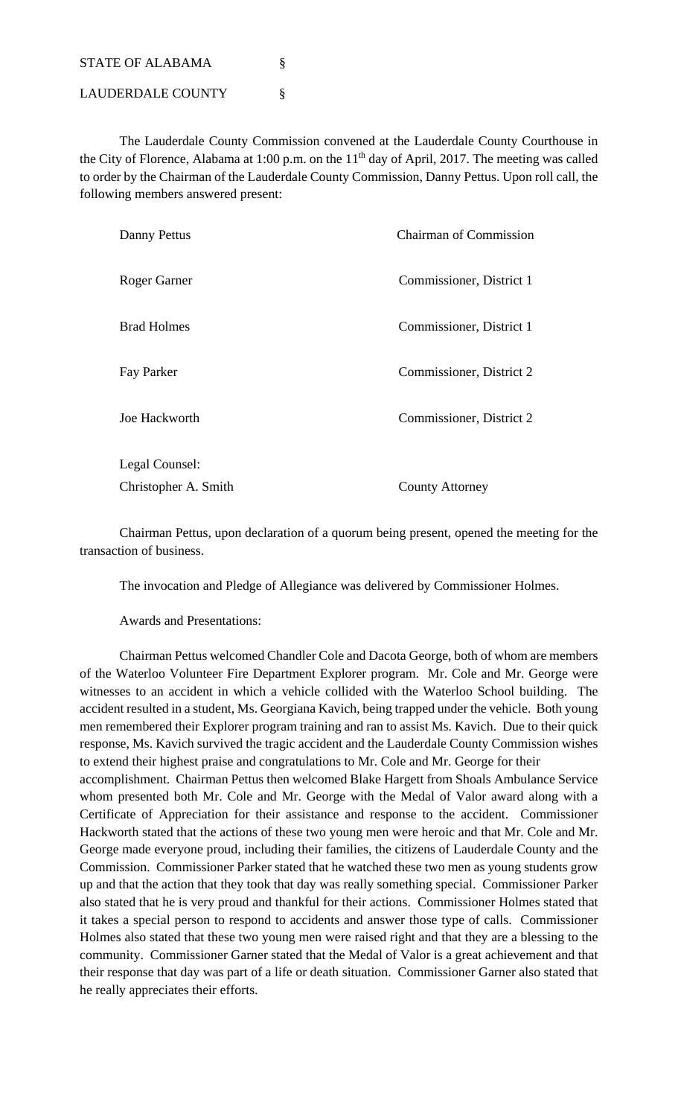STATE OF ALABAMA

LAUDERDALE COUNTY §

 The Lauderdale County Commission convened at the Lauderdale County Courthouse in the City of Florence, Alabama at 1:00 p.m. on the 11<sup>th</sup> day of April, 2017. The meeting was called to order by the Chairman of the Lauderdale County Commission, Danny Pettus. Upon roll call, the following members answered present:

| Danny Pettus         | <b>Chairman of Commission</b> |
|----------------------|-------------------------------|
| Roger Garner         | Commissioner, District 1      |
| <b>Brad Holmes</b>   | Commissioner, District 1      |
| Fay Parker           | Commissioner, District 2      |
| Joe Hackworth        | Commissioner, District 2      |
| Legal Counsel:       |                               |
| Christopher A. Smith | <b>County Attorney</b>        |

 Chairman Pettus, upon declaration of a quorum being present, opened the meeting for the transaction of business.

The invocation and Pledge of Allegiance was delivered by Commissioner Holmes.

Awards and Presentations:

 Chairman Pettus welcomed Chandler Cole and Dacota George, both of whom are members of the Waterloo Volunteer Fire Department Explorer program. Mr. Cole and Mr. George were witnesses to an accident in which a vehicle collided with the Waterloo School building. The accident resulted in a student, Ms. Georgiana Kavich, being trapped under the vehicle. Both young men remembered their Explorer program training and ran to assist Ms. Kavich. Due to their quick response, Ms. Kavich survived the tragic accident and the Lauderdale County Commission wishes to extend their highest praise and congratulations to Mr. Cole and Mr. George for their accomplishment. Chairman Pettus then welcomed Blake Hargett from Shoals Ambulance Service whom presented both Mr. Cole and Mr. George with the Medal of Valor award along with a Certificate of Appreciation for their assistance and response to the accident. Commissioner Hackworth stated that the actions of these two young men were heroic and that Mr. Cole and Mr. George made everyone proud, including their families, the citizens of Lauderdale County and the Commission. Commissioner Parker stated that he watched these two men as young students grow up and that the action that they took that day was really something special. Commissioner Parker also stated that he is very proud and thankful for their actions. Commissioner Holmes stated that it takes a special person to respond to accidents and answer those type of calls. Commissioner Holmes also stated that these two young men were raised right and that they are a blessing to the community. Commissioner Garner stated that the Medal of Valor is a great achievement and that their response that day was part of a life or death situation. Commissioner Garner also stated that he really appreciates their efforts.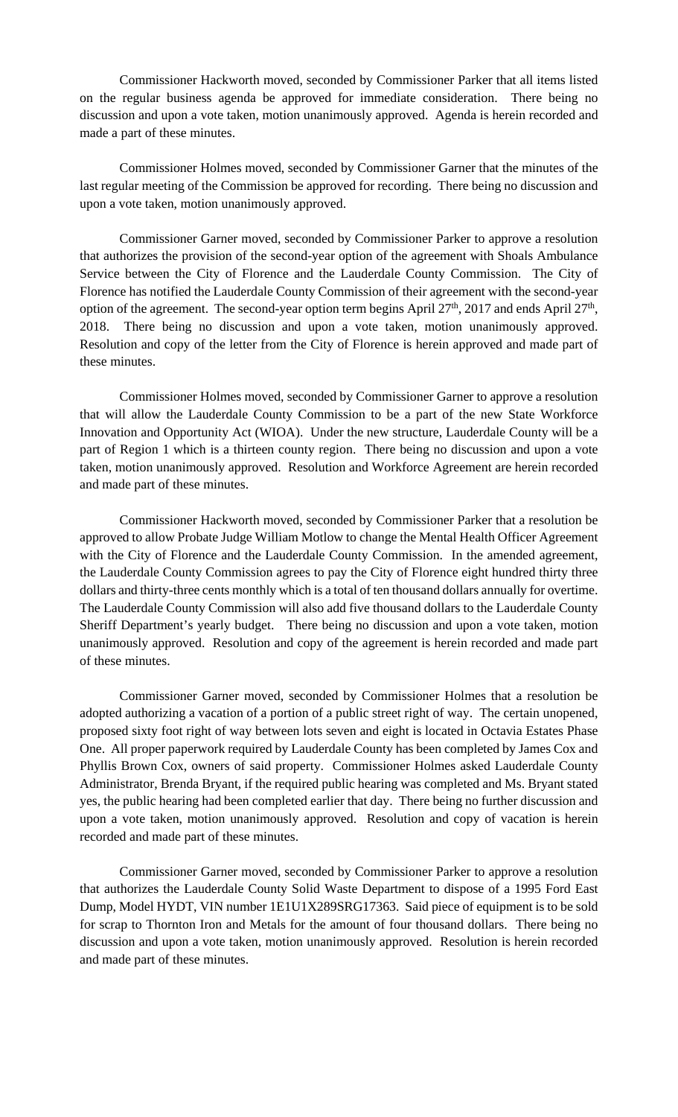Commissioner Hackworth moved, seconded by Commissioner Parker that all items listed on the regular business agenda be approved for immediate consideration. There being no discussion and upon a vote taken, motion unanimously approved. Agenda is herein recorded and made a part of these minutes.

Commissioner Holmes moved, seconded by Commissioner Garner that the minutes of the last regular meeting of the Commission be approved for recording. There being no discussion and upon a vote taken, motion unanimously approved.

Commissioner Garner moved, seconded by Commissioner Parker to approve a resolution that authorizes the provision of the second-year option of the agreement with Shoals Ambulance Service between the City of Florence and the Lauderdale County Commission. The City of Florence has notified the Lauderdale County Commission of their agreement with the second-year option of the agreement. The second-year option term begins April  $27<sup>th</sup>$ ,  $2017$  and ends April  $27<sup>th</sup>$ , 2018. There being no discussion and upon a vote taken, motion unanimously approved. Resolution and copy of the letter from the City of Florence is herein approved and made part of these minutes.

Commissioner Holmes moved, seconded by Commissioner Garner to approve a resolution that will allow the Lauderdale County Commission to be a part of the new State Workforce Innovation and Opportunity Act (WIOA). Under the new structure, Lauderdale County will be a part of Region 1 which is a thirteen county region. There being no discussion and upon a vote taken, motion unanimously approved. Resolution and Workforce Agreement are herein recorded and made part of these minutes.

Commissioner Hackworth moved, seconded by Commissioner Parker that a resolution be approved to allow Probate Judge William Motlow to change the Mental Health Officer Agreement with the City of Florence and the Lauderdale County Commission. In the amended agreement, the Lauderdale County Commission agrees to pay the City of Florence eight hundred thirty three dollars and thirty-three cents monthly which is a total of ten thousand dollars annually for overtime. The Lauderdale County Commission will also add five thousand dollars to the Lauderdale County Sheriff Department's yearly budget. There being no discussion and upon a vote taken, motion unanimously approved. Resolution and copy of the agreement is herein recorded and made part of these minutes.

Commissioner Garner moved, seconded by Commissioner Holmes that a resolution be adopted authorizing a vacation of a portion of a public street right of way. The certain unopened, proposed sixty foot right of way between lots seven and eight is located in Octavia Estates Phase One. All proper paperwork required by Lauderdale County has been completed by James Cox and Phyllis Brown Cox, owners of said property. Commissioner Holmes asked Lauderdale County Administrator, Brenda Bryant, if the required public hearing was completed and Ms. Bryant stated yes, the public hearing had been completed earlier that day. There being no further discussion and upon a vote taken, motion unanimously approved. Resolution and copy of vacation is herein recorded and made part of these minutes.

Commissioner Garner moved, seconded by Commissioner Parker to approve a resolution that authorizes the Lauderdale County Solid Waste Department to dispose of a 1995 Ford East Dump, Model HYDT, VIN number 1E1U1X289SRG17363. Said piece of equipment is to be sold for scrap to Thornton Iron and Metals for the amount of four thousand dollars. There being no discussion and upon a vote taken, motion unanimously approved. Resolution is herein recorded and made part of these minutes.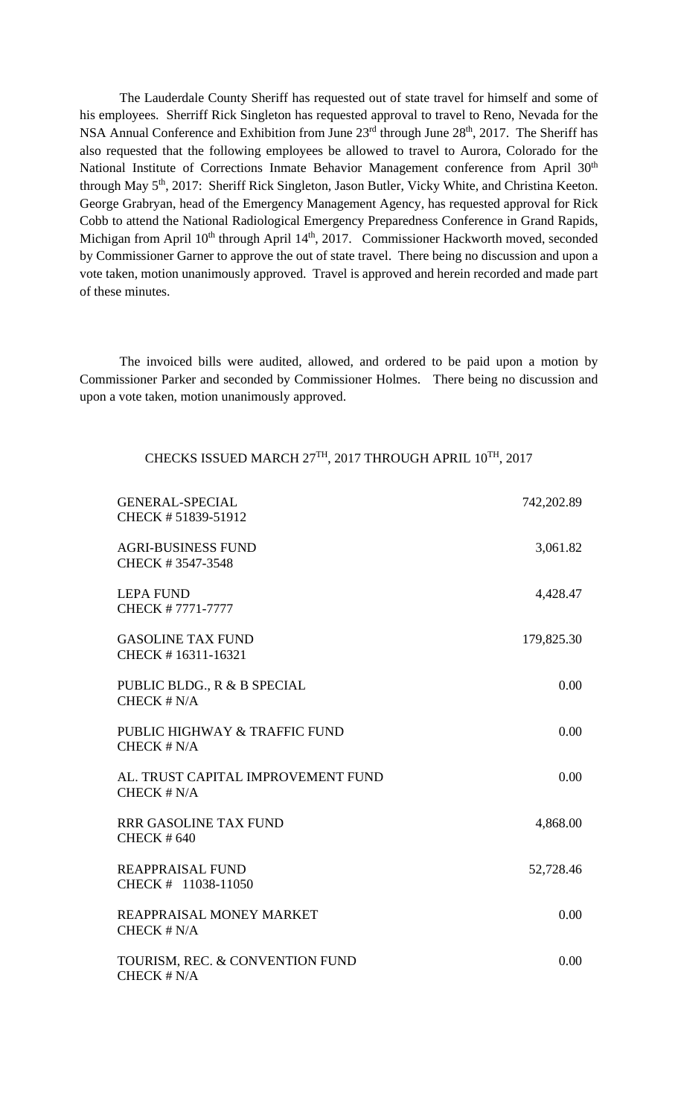The Lauderdale County Sheriff has requested out of state travel for himself and some of his employees. Sherriff Rick Singleton has requested approval to travel to Reno, Nevada for the NSA Annual Conference and Exhibition from June 23<sup>rd</sup> through June 28<sup>th</sup>, 2017. The Sheriff has also requested that the following employees be allowed to travel to Aurora, Colorado for the National Institute of Corrections Inmate Behavior Management conference from April 30<sup>th</sup> through May 5<sup>th</sup>, 2017: Sheriff Rick Singleton, Jason Butler, Vicky White, and Christina Keeton. George Grabryan, head of the Emergency Management Agency, has requested approval for Rick Cobb to attend the National Radiological Emergency Preparedness Conference in Grand Rapids, Michigan from April 10<sup>th</sup> through April 14<sup>th</sup>, 2017. Commissioner Hackworth moved, seconded by Commissioner Garner to approve the out of state travel. There being no discussion and upon a vote taken, motion unanimously approved. Travel is approved and herein recorded and made part of these minutes.

The invoiced bills were audited, allowed, and ordered to be paid upon a motion by Commissioner Parker and seconded by Commissioner Holmes. There being no discussion and upon a vote taken, motion unanimously approved.

## CHECKS ISSUED MARCH 27TH, 2017 THROUGH APRIL 10TH, 2017

| <b>GENERAL-SPECIAL</b><br>CHECK #51839-51912        | 742,202.89 |
|-----------------------------------------------------|------------|
| <b>AGRI-BUSINESS FUND</b><br>CHECK #3547-3548       | 3,061.82   |
| <b>LEPA FUND</b><br>CHECK #7771-7777                | 4,428.47   |
| <b>GASOLINE TAX FUND</b><br>CHECK #16311-16321      | 179,825.30 |
| PUBLIC BLDG., R & B SPECIAL<br>CHECK $# N/A$        | 0.00       |
| PUBLIC HIGHWAY & TRAFFIC FUND<br>CHECK # N/A        | 0.00       |
| AL. TRUST CAPITAL IMPROVEMENT FUND<br>CHECK $# N/A$ | 0.00       |
| <b>RRR GASOLINE TAX FUND</b><br><b>CHECK #640</b>   | 4,868.00   |
| <b>REAPPRAISAL FUND</b><br>CHECK # 11038-11050      | 52,728.46  |
| REAPPRAISAL MONEY MARKET<br>CHECK # N/A             | 0.00       |
| TOURISM, REC. & CONVENTION FUND<br>CHECK # N/A      | 0.00       |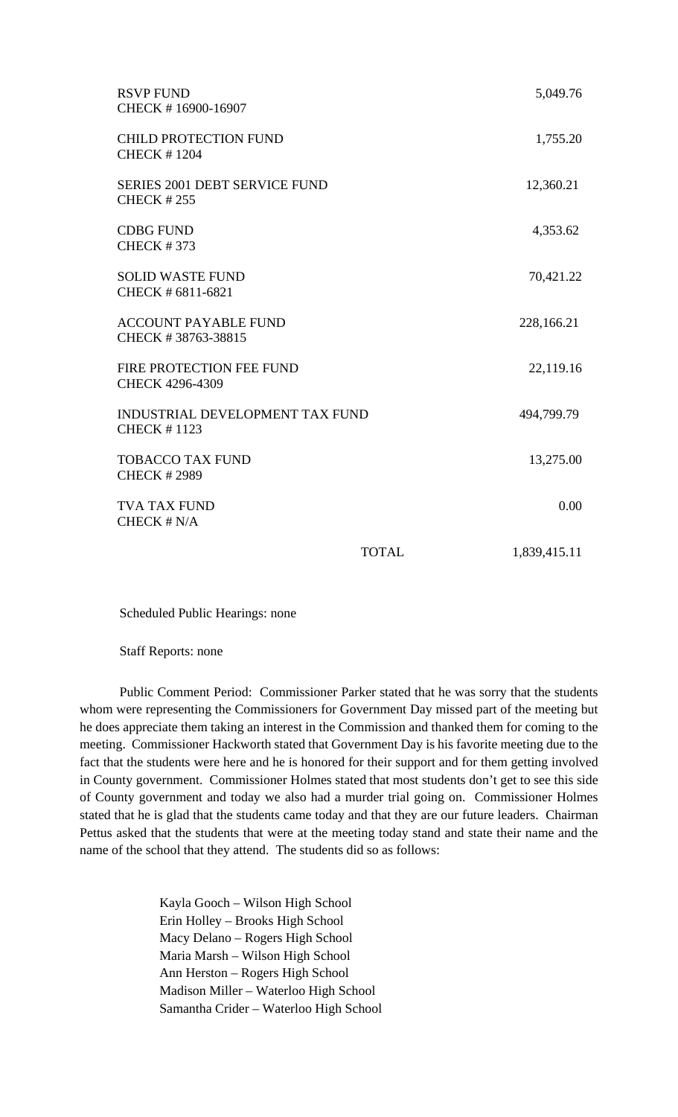| <b>RSVP FUND</b><br>CHECK #16900-16907                       |              | 5,049.76     |
|--------------------------------------------------------------|--------------|--------------|
| <b>CHILD PROTECTION FUND</b><br><b>CHECK #1204</b>           |              | 1,755.20     |
| <b>SERIES 2001 DEBT SERVICE FUND</b><br><b>CHECK #255</b>    |              | 12,360.21    |
| <b>CDBG FUND</b><br><b>CHECK #373</b>                        |              | 4,353.62     |
| <b>SOLID WASTE FUND</b><br>CHECK # 6811-6821                 |              | 70,421.22    |
| <b>ACCOUNT PAYABLE FUND</b><br>CHECK #38763-38815            |              | 228,166.21   |
| FIRE PROTECTION FEE FUND<br>CHECK 4296-4309                  |              | 22,119.16    |
| <b>INDUSTRIAL DEVELOPMENT TAX FUND</b><br><b>CHECK #1123</b> |              | 494,799.79   |
| <b>TOBACCO TAX FUND</b><br><b>CHECK #2989</b>                |              | 13,275.00    |
| <b>TVA TAX FUND</b><br>CHECK # N/A                           |              | 0.00         |
|                                                              | <b>TOTAL</b> | 1,839,415.11 |

Scheduled Public Hearings: none

Staff Reports: none

 Public Comment Period: Commissioner Parker stated that he was sorry that the students whom were representing the Commissioners for Government Day missed part of the meeting but he does appreciate them taking an interest in the Commission and thanked them for coming to the meeting. Commissioner Hackworth stated that Government Day is his favorite meeting due to the fact that the students were here and he is honored for their support and for them getting involved in County government. Commissioner Holmes stated that most students don't get to see this side of County government and today we also had a murder trial going on. Commissioner Holmes stated that he is glad that the students came today and that they are our future leaders. Chairman Pettus asked that the students that were at the meeting today stand and state their name and the name of the school that they attend. The students did so as follows:

> Kayla Gooch – Wilson High School Erin Holley – Brooks High School Macy Delano – Rogers High School Maria Marsh – Wilson High School Ann Herston – Rogers High School Madison Miller – Waterloo High School Samantha Crider – Waterloo High School